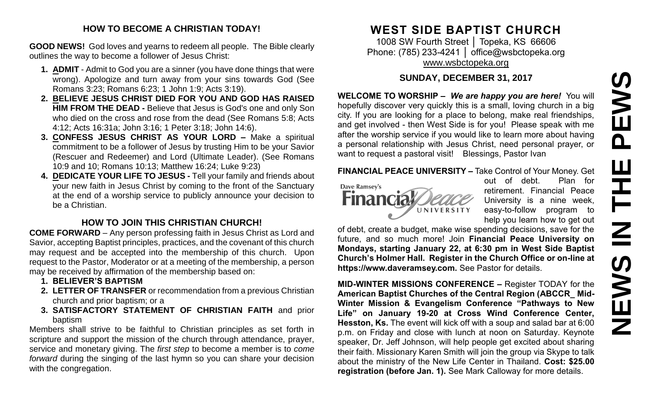# PEWS **NEWS IN THE PEWS**Ш **HH NH SVEMS**

#### **HOW TO BECOME A CHRISTIAN TODAY!**

**GOOD NEWS!** God loves and yearns to redeem all people. The Bible clearly outlines the way to become a follower of Jesus Christ:

- **1. ADMIT** Admit to God you are a sinner (you have done things that were wrong). Apologize and turn away from your sins towards God (See Romans 3:23; Romans 6:23; 1 John 1:9; Acts 3:19).
- **2. BELIEVE JESUS CHRIST DIED FOR YOU AND GOD HAS RAISED HIM FROM THE DEAD -** Believe that Jesus is God's one and only Son who died on the cross and rose from the dead (See Romans 5:8; Acts 4:12; Acts 16:31a; John 3:16; 1 Peter 3:18; John 14:6).
- **3. CONFESS JESUS CHRIST AS YOUR LORD –** Make a spiritual commitment to be a follower of Jesus by trusting Him to be your Savior (Rescuer and Redeemer) and Lord (Ultimate Leader). (See Romans 10:9 and 10; Romans 10:13; Matthew 16:24; Luke 9:23)
- **4. DEDICATE YOUR LIFE TO JESUS -** Tell your family and friends about your new faith in Jesus Christ by coming to the front of the Sanctuary at the end of a worship service to publicly announce your decision to be a Christian.

#### **HOW TO JOIN THIS CHRISTIAN CHURCH!**

**COME FORWARD** – Any person professing faith in Jesus Christ as Lord and Savior, accepting Baptist principles, practices, and the covenant of this church may request and be accepted into the membership of this church. Upon request to the Pastor, Moderator or at a meeting of the membership, a person may be received by affirmation of the membership based on:

- **1. BELIEVER'S BAPTISM**
- **2. LETTER OF TRANSFER** or recommendation from a previous Christian church and prior baptism; or a
- **3. SATISFACTORY STATEMENT OF CHRISTIAN FAITH** and prior baptism

Members shall strive to be faithful to Christian principles as set forth in scripture and support the mission of the church through attendance, prayer, service and monetary giving. The *first step* to become a member is to *come forward* during the singing of the last hymn so you can share your decision with the congregation.

# **WEST SIDE BAPTIST CHURCH**

1008 SW Fourth Street │ Topeka, KS 66606 Phone: (785) 233-4241 | [office@wsbctopeka.org](mailto:office@wsbctopeka.org) [www.wsbctopeka.org](http://www.wsbctopeka.org/)

#### **SUNDAY, DECEMBER 31, 2017**

**WELCOME TO WORSHIP –** *We are happy you are here!* You will hopefully discover very quickly this is a small, loving church in a big city. If you are looking for a place to belong, make real friendships, and get involved - then West Side is for you! Please speak with me after the worship service if you would like to learn more about having a personal relationship with Jesus Christ, need personal prayer, or want to request a pastoral visit! Blessings, Pastor Ivan

#### **FINANCIAL PEACE UNIVERSITY –** Take Control of Your Money. Get



out of debt. Plan for retirement. Financial Peace University is a nine week, easy-to-follow program to help you learn how to get out

of debt, create a budget, make wise spending decisions, save for the future, and so much more! Join **Financial Peace University on Mondays, starting January 22, at 6:30 pm in West Side Baptist Church's Holmer Hall. Register in the Church Office or on-line at https://www.daveramsey.com.** See Pastor for details.

**MID-WINTER MISSIONS CONFERENCE –** Register TODAY for the **American Baptist Churches of the Central Region (ABCCR\_ Mid-Winter Mission & Evangelism Conference "Pathways to New Life" on January 19-20 at Cross Wind Conference Center, Hesston, Ks.** The event will kick off with a soup and salad bar at 6:00 p.m. on Friday and close with lunch at noon on Saturday. Keynote speaker, Dr. Jeff Johnson, will help people get excited about sharing their faith. Missionary Karen Smith will join the group via Skype to talk about the ministry of the New Life Center in Thailand. **Cost: \$25.00 registration (before Jan. 1).** See Mark Calloway for more details.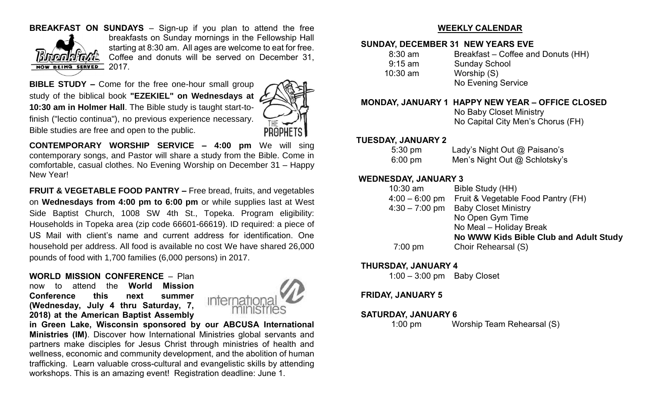#### **BREAKFAST ON SUNDAYS** – Sign-up if you plan to attend the free



breakfasts on Sunday mornings in the Fellowship Hall starting at 8:30 am. All ages are welcome to eat for free. Coffee and donuts will be served on December 31, 2017.

**BIBLE STUDY –** Come for the free one-hour small group study of the biblical book **"EZEKIEL" on Wednesdays at 10:30 am in Holmer Hall**. The Bible study is taught start-tofinish ("lectio continua"), no previous experience necessary. Bible studies are free and open to the public.



**CONTEMPORARY WORSHIP SERVICE – 4:00 pm** We will sing contemporary songs, and Pastor will share a study from the Bible. Come in comfortable, casual clothes. No Evening Worship on December 31 – Happy New Year!

**FRUIT & VEGETABLE FOOD PANTRY –** Free bread, fruits, and vegetables on **Wednesdays from 4:00 pm to 6:00 pm** or while supplies last at West Side Baptist Church, 1008 SW 4th St., Topeka. Program eligibility: Households in Topeka area (zip code 66601-66619). ID required: a piece of US Mail with client's name and current address for identification. One household per address. All food is available no cost We have shared 26,000 pounds of food with 1,700 families (6,000 persons) in 2017.

#### **WORLD MISSION CONFERENCE** – Plan

now to attend the **World Mission Conference this next summer (Wednesday, July 4 thru Saturday, 7, 2018) at the American Baptist Assembly**



**in Green Lake, Wisconsin sponsored by our ABCUSA International Ministries (IM)**. Discover how International Ministries global servants and partners make disciples for Jesus Christ through ministries of health and wellness, economic and community development, and the abolition of human trafficking. Learn valuable cross-cultural and evangelistic skills by attending workshops. This is an amazing event! Registration deadline: June 1.

#### **WEEKLY CALENDAR**

#### **SUNDAY, DECEMBER 31 NEW YEARS EVE**

| $8:30 \text{ am}$ | Breakfast – Coffee and Donuts (HH) |
|-------------------|------------------------------------|
| $9:15 \text{ am}$ | <b>Sunday School</b>               |
| $10:30$ am        | Worship (S)                        |
|                   | No Evening Service                 |

#### **MONDAY, JANUARY 1 HAPPY NEW YEAR – OFFICE CLOSED**

 No Baby Closet Ministry No Capital City Men's Chorus (FH)

#### **TUESDAY, JANUARY 2**

| $5:30 \text{ pm}$ | Lady's Night Out @ Paisano's  |
|-------------------|-------------------------------|
| $6:00 \text{ pm}$ | Men's Night Out @ Schlotsky's |

#### **WEDNESDAY, JANUARY 3**

|  | $10:30$ am       | Bible Study (HH)                       |
|--|------------------|----------------------------------------|
|  | $4:00 - 6:00$ pm | Fruit & Vegetable Food Pantry (FH)     |
|  | $4:30 - 7:00$ pm | <b>Baby Closet Ministry</b>            |
|  |                  | No Open Gym Time                       |
|  |                  | No Meal - Holiday Break                |
|  |                  | No WWW Kids Bible Club and Adult Study |
|  | $7:00$ pm        | Choir Rehearsal (S)                    |
|  |                  |                                        |

#### **THURSDAY, JANUARY 4**

1:00 – 3:00 pm Baby Closet

#### **FRIDAY, JANUARY 5**

#### **SATURDAY, JANUARY 6**

1:00 pm Worship Team Rehearsal (S)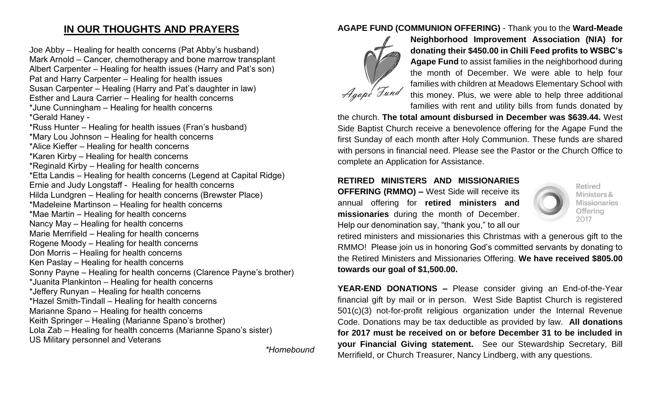### **IN OUR THOUGHTS AND PRAYERS**

Joe Abby – Healing for health concerns (Pat Abby's husband) Mark Arnold – Cancer, chemotherapy and bone marrow transplant Albert Carpenter – Healing for health issues (Harry and Pat's son) Pat and Harry Carpenter – Healing for health issues Susan Carpenter – Healing (Harry and Pat's daughter in law) Esther and Laura Carrier – Healing for health concerns \*June Cunningham – Healing for health concerns \*Gerald Haney - \*Russ Hunter – Healing for health issues (Fran's husband) \*Mary Lou Johnson – Healing for health concerns \*Alice Kieffer – Healing for health concerns \*Karen Kirby – Healing for health concerns \*Reginald Kirby – Healing for health concerns \*Etta Landis – Healing for health concerns (Legend at Capital Ridge) Ernie and Judy Longstaff - Healing for health concerns Hilda Lundgren – Healing for health concerns (Brewster Place) \*Madeleine Martinson – Healing for health concerns \*Mae Martin – Healing for health concerns Nancy May – Healing for health concerns Marie Merrifield – Healing for health concerns Rogene Moody – Healing for health concerns Don Morris – Healing for health concerns Ken Paslay – Healing for health concerns Sonny Payne – Healing for health concerns (Clarence Payne's brother) \*Juanita Plankinton – Healing for health concerns \*Jeffery Runyan – Healing for health concerns \*Hazel Smith-Tindall – Healing for health concerns Marianne Spano – Healing for health concerns Keith Springer – Healing (Marianne Spano's brother) Lola Zab – Healing for health concerns (Marianne Spano's sister) US Military personnel and Veterans

*\*Homebound*

#### **AGAPE FUND (COMMUNION OFFERING)** - Thank you to the **Ward-Meade**



**Neighborhood Improvement Association (NIA) for donating their \$450.00 in Chili Feed profits to WSBC's Agape Fund** to assist families in the neighborhood during the month of December. We were able to help four families with children at Meadows Elementary School with this money. Plus, we were able to help three additional families with rent and utility bills from funds donated by

the church. **The total amount disbursed in December was \$639.44.** West Side Baptist Church receive a benevolence offering for the Agape Fund the first Sunday of each month after Holy Communion. These funds are shared with persons in financial need. Please see the Pastor or the Church Office to complete an Application for Assistance.

**RETIRED MINISTERS AND MISSIONARIES OFFERING (RMMO) –** West Side will receive its annual offering for **retired ministers and missionaries** during the month of December. Help our denomination say, "thank you," to all our



Retired Ministers & **Missionaries** Offering 2017

retired ministers and missionaries this Christmas with a generous gift to the RMMO! Please join us in honoring God's committed servants by donating to the Retired Ministers and Missionaries Offering. **We have received \$805.00 towards our goal of \$1,500.00.** 

**YEAR-END DONATIONS –** Please consider giving an End-of-the-Year financial gift by mail or in person. West Side Baptist Church is registered 501(c)(3) not-for-profit religious organization under the Internal Revenue Code. Donations may be tax deductible as provided by law. **All donations for 2017 must be received on or before December 31 to be included in your Financial Giving statement.** See our Stewardship Secretary, Bill Merrifield, or Church Treasurer, Nancy Lindberg, with any questions.